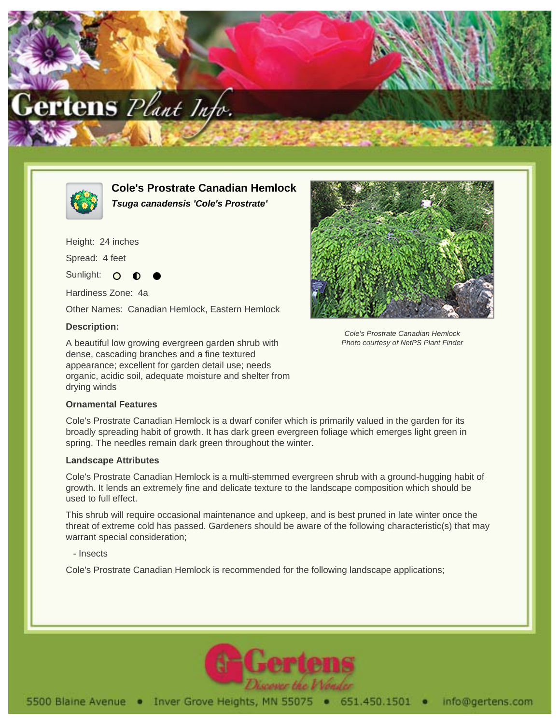



**Cole's Prostrate Canadian Hemlock Tsuga canadensis 'Cole's Prostrate'**

Height: 24 inches

Spread: 4 feet

Sunlight: O

Hardiness Zone: 4a

Other Names: Canadian Hemlock, Eastern Hemlock

## **Description:**

A beautiful low growing evergreen garden shrub with dense, cascading branches and a fine textured appearance; excellent for garden detail use; needs organic, acidic soil, adequate moisture and shelter from drying winds





Cole's Prostrate Canadian Hemlock Photo courtesy of NetPS Plant Finder

Cole's Prostrate Canadian Hemlock is a dwarf conifer which is primarily valued in the garden for its broadly spreading habit of growth. It has dark green evergreen foliage which emerges light green in spring. The needles remain dark green throughout the winter.

## **Landscape Attributes**

Cole's Prostrate Canadian Hemlock is a multi-stemmed evergreen shrub with a ground-hugging habit of growth. It lends an extremely fine and delicate texture to the landscape composition which should be used to full effect.

This shrub will require occasional maintenance and upkeep, and is best pruned in late winter once the threat of extreme cold has passed. Gardeners should be aware of the following characteristic(s) that may warrant special consideration;

- Insects

Cole's Prostrate Canadian Hemlock is recommended for the following landscape applications;